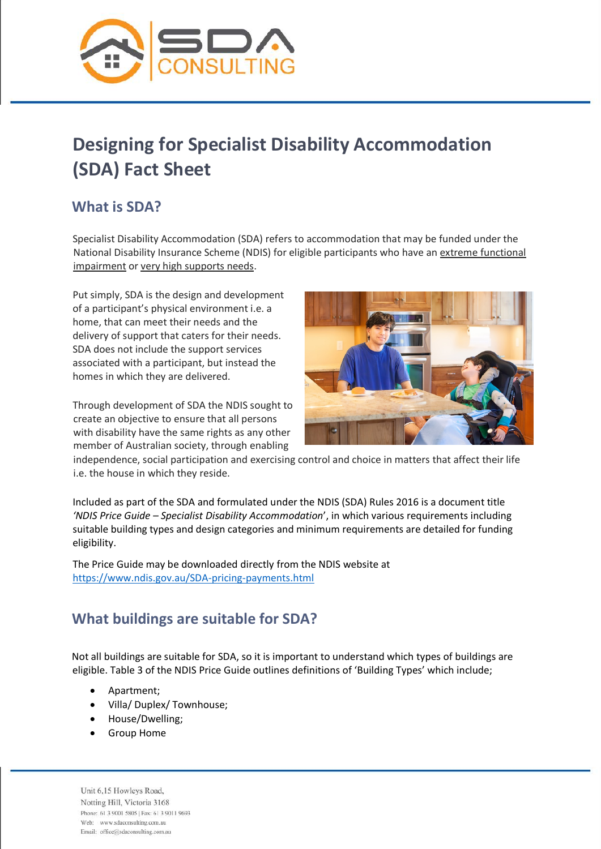

# **Designing for Specialist Disability Accommodation (SDA) Fact Sheet**

### **What is SDA?**

Specialist Disability Accommodation (SDA) refers to accommodation that may be funded under the National Disability Insurance Scheme (NDIS) for eligible participants who have an extreme functional impairment or very high supports needs.

Put simply, SDA is the design and development of a participant's physical environment i.e. a home, that can meet their needs and the delivery of support that caters for their needs. SDA does not include the support services associated with a participant, but instead the homes in which they are delivered.

Through development of SDA the NDIS sought to create an objective to ensure that all persons with disability have the same rights as any other member of Australian society, through enabling



independence, social participation and exercising control and choice in matters that affect their life i.e. the house in which they reside.

Included as part of the SDA and formulated under the NDIS (SDA) Rules 2016 is a document title *'NDIS Price Guide – Specialist Disability Accommodation*', in which various requirements including suitable building types and design categories and minimum requirements are detailed for funding eligibility.

The Price Guide may be downloaded directly from the NDIS website at <https://www.ndis.gov.au/SDA-pricing-payments.html>

## **What buildings are suitable for SDA?**

Not all buildings are suitable for SDA, so it is important to understand which types of buildings are eligible. Table 3 of the NDIS Price Guide outlines definitions of 'Building Types' which include;

- Apartment;
- Villa/ Duplex/ Townhouse;
- House/Dwelling;
- Group Home

Unit 6,15 Howleys Road, Notting Hill, Victoria 3168 Phone: 61 3 9001 5805 | Fax: 61 3 9011 9693 Web: www.sdaconsulting.com.au Email: office@sdaconsulting.com.au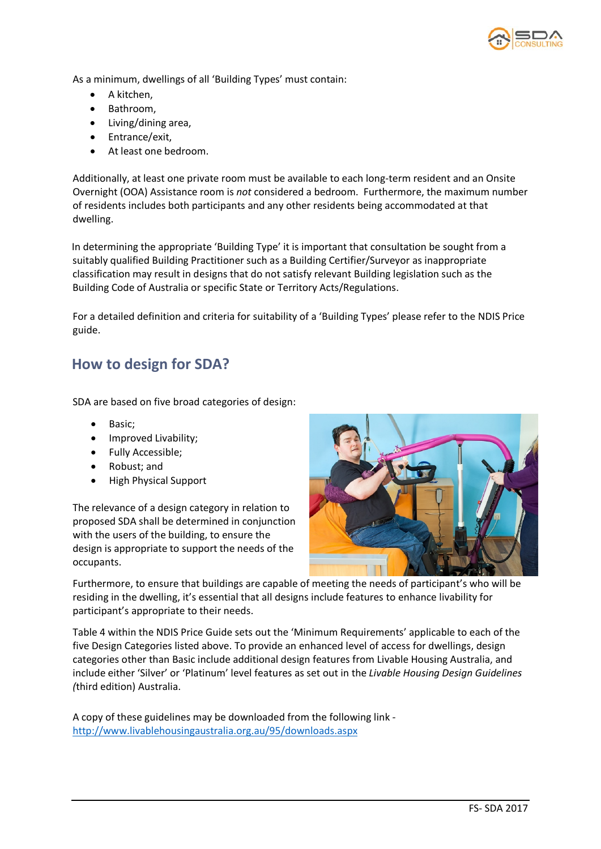

As a minimum, dwellings of all 'Building Types' must contain:

- A kitchen,
- Bathroom,
- Living/dining area,
- Entrance/exit,
- At least one bedroom.

Additionally, at least one private room must be available to each long-term resident and an Onsite Overnight (OOA) Assistance room is *not* considered a bedroom. Furthermore, the maximum number of residents includes both participants and any other residents being accommodated at that dwelling.

In determining the appropriate 'Building Type' it is important that consultation be sought from a suitably qualified Building Practitioner such as a Building Certifier/Surveyor as inappropriate classification may result in designs that do not satisfy relevant Building legislation such as the Building Code of Australia or specific State or Territory Acts/Regulations.

For a detailed definition and criteria for suitability of a 'Building Types' please refer to the NDIS Price guide.

#### **How to design for SDA?**

SDA are based on five broad categories of design:

- Basic;
- Improved Livability;
- Fully Accessible;
- Robust; and
- High Physical Support

The relevance of a design category in relation to proposed SDA shall be determined in conjunction with the users of the building, to ensure the design is appropriate to support the needs of the occupants.



Furthermore, to ensure that buildings are capable of meeting the needs of participant's who will be residing in the dwelling, it's essential that all designs include features to enhance livability for participant's appropriate to their needs.

Table 4 within the NDIS Price Guide sets out the 'Minimum Requirements' applicable to each of the five Design Categories listed above. To provide an enhanced level of access for dwellings, design categories other than Basic include additional design features from Livable Housing Australia, and include either 'Silver' or 'Platinum' level features as set out in the *Livable Housing Design Guidelines (*third edition) Australia.

A copy of these guidelines may be downloaded from the following link <http://www.livablehousingaustralia.org.au/95/downloads.aspx>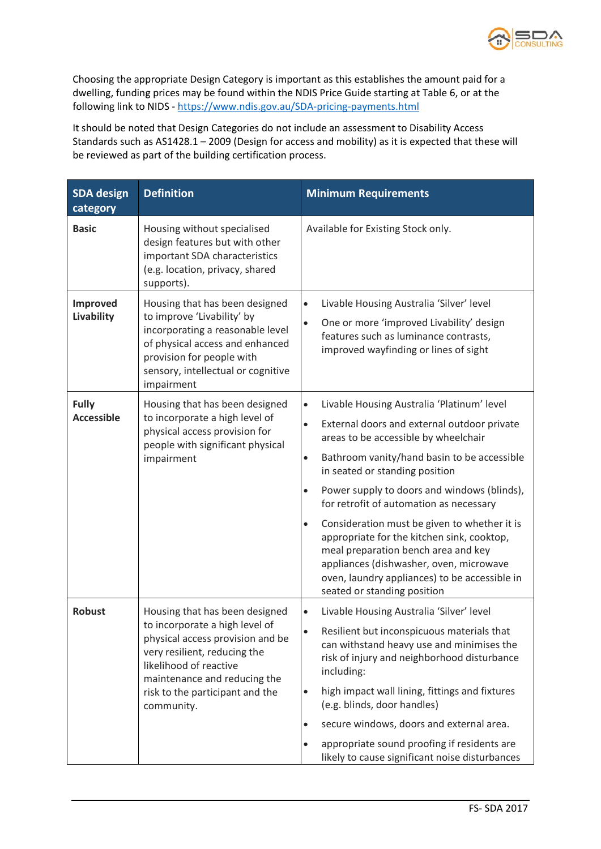

Choosing the appropriate Design Category is important as this establishes the amount paid for a dwelling, funding prices may be found within the NDIS Price Guide starting at Table 6, or at the following link to NIDS - <https://www.ndis.gov.au/SDA-pricing-payments.html>

It should be noted that Design Categories do not include an assessment to Disability Access Standards such as AS1428.1 – 2009 (Design for access and mobility) as it is expected that these will be reviewed as part of the building certification process.

| <b>SDA</b> design<br>category     | <b>Definition</b>                                                                                                                                                                                                                               | <b>Minimum Requirements</b>                                                                                                                                                                                                                                                                                                                                                                                                                                                                                                                                                                                                      |  |
|-----------------------------------|-------------------------------------------------------------------------------------------------------------------------------------------------------------------------------------------------------------------------------------------------|----------------------------------------------------------------------------------------------------------------------------------------------------------------------------------------------------------------------------------------------------------------------------------------------------------------------------------------------------------------------------------------------------------------------------------------------------------------------------------------------------------------------------------------------------------------------------------------------------------------------------------|--|
| <b>Basic</b>                      | Housing without specialised<br>design features but with other<br>important SDA characteristics<br>(e.g. location, privacy, shared<br>supports).                                                                                                 | Available for Existing Stock only.                                                                                                                                                                                                                                                                                                                                                                                                                                                                                                                                                                                               |  |
| Improved<br>Livability            | Housing that has been designed<br>to improve 'Livability' by<br>incorporating a reasonable level<br>of physical access and enhanced<br>provision for people with<br>sensory, intellectual or cognitive<br>impairment                            | Livable Housing Australia 'Silver' level<br>$\bullet$<br>One or more 'improved Livability' design<br>$\bullet$<br>features such as luminance contrasts,<br>improved wayfinding or lines of sight                                                                                                                                                                                                                                                                                                                                                                                                                                 |  |
| <b>Fully</b><br><b>Accessible</b> | Housing that has been designed<br>to incorporate a high level of<br>physical access provision for<br>people with significant physical<br>impairment                                                                                             | Livable Housing Australia 'Platinum' level<br>$\bullet$<br>External doors and external outdoor private<br>$\bullet$<br>areas to be accessible by wheelchair<br>Bathroom vanity/hand basin to be accessible<br>$\bullet$<br>in seated or standing position<br>Power supply to doors and windows (blinds),<br>$\bullet$<br>for retrofit of automation as necessary<br>Consideration must be given to whether it is<br>appropriate for the kitchen sink, cooktop,<br>meal preparation bench area and key<br>appliances (dishwasher, oven, microwave<br>oven, laundry appliances) to be accessible in<br>seated or standing position |  |
| <b>Robust</b>                     | Housing that has been designed<br>to incorporate a high level of<br>physical access provision and be<br>very resilient, reducing the<br>likelihood of reactive<br>maintenance and reducing the<br>risk to the participant and the<br>community. | Livable Housing Australia 'Silver' level<br>$\bullet$<br>Resilient but inconspicuous materials that<br>can withstand heavy use and minimises the<br>risk of injury and neighborhood disturbance<br>including:<br>high impact wall lining, fittings and fixtures<br>(e.g. blinds, door handles)<br>secure windows, doors and external area.<br>$\bullet$<br>appropriate sound proofing if residents are<br>$\bullet$<br>likely to cause significant noise disturbances                                                                                                                                                            |  |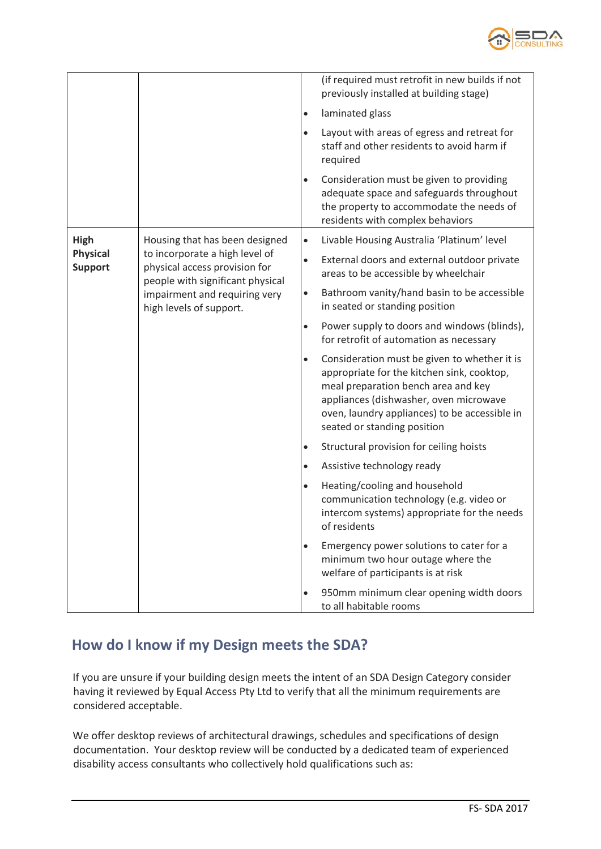

|                                           |                                                                                                                                                                                                   | $\bullet$<br>$\bullet$ | (if required must retrofit in new builds if not<br>previously installed at building stage)<br>laminated glass<br>Layout with areas of egress and retreat for<br>staff and other residents to avoid harm if<br>required                                      |
|-------------------------------------------|---------------------------------------------------------------------------------------------------------------------------------------------------------------------------------------------------|------------------------|-------------------------------------------------------------------------------------------------------------------------------------------------------------------------------------------------------------------------------------------------------------|
|                                           |                                                                                                                                                                                                   | $\bullet$              | Consideration must be given to providing<br>adequate space and safeguards throughout<br>the property to accommodate the needs of<br>residents with complex behaviors                                                                                        |
| High<br><b>Physical</b><br><b>Support</b> | Housing that has been designed<br>to incorporate a high level of<br>physical access provision for<br>people with significant physical<br>impairment and requiring very<br>high levels of support. | $\bullet$              | Livable Housing Australia 'Platinum' level                                                                                                                                                                                                                  |
|                                           |                                                                                                                                                                                                   | $\bullet$              | External doors and external outdoor private<br>areas to be accessible by wheelchair                                                                                                                                                                         |
|                                           |                                                                                                                                                                                                   | $\bullet$              | Bathroom vanity/hand basin to be accessible<br>in seated or standing position                                                                                                                                                                               |
|                                           |                                                                                                                                                                                                   | $\bullet$              | Power supply to doors and windows (blinds),<br>for retrofit of automation as necessary                                                                                                                                                                      |
|                                           |                                                                                                                                                                                                   | $\bullet$              | Consideration must be given to whether it is<br>appropriate for the kitchen sink, cooktop,<br>meal preparation bench area and key<br>appliances (dishwasher, oven microwave<br>oven, laundry appliances) to be accessible in<br>seated or standing position |
|                                           |                                                                                                                                                                                                   | $\bullet$              | Structural provision for ceiling hoists                                                                                                                                                                                                                     |
|                                           |                                                                                                                                                                                                   | $\bullet$              | Assistive technology ready                                                                                                                                                                                                                                  |
|                                           |                                                                                                                                                                                                   | $\bullet$              | Heating/cooling and household<br>communication technology (e.g. video or<br>intercom systems) appropriate for the needs<br>of residents                                                                                                                     |
|                                           |                                                                                                                                                                                                   | $\bullet$              | Emergency power solutions to cater for a<br>minimum two hour outage where the<br>welfare of participants is at risk                                                                                                                                         |
|                                           |                                                                                                                                                                                                   | $\bullet$              | 950mm minimum clear opening width doors<br>to all habitable rooms                                                                                                                                                                                           |

#### **How do I know if my Design meets the SDA?**

If you are unsure if your building design meets the intent of an SDA Design Category consider having it reviewed by Equal Access Pty Ltd to verify that all the minimum requirements are considered acceptable.

We offer desktop reviews of architectural drawings, schedules and specifications of design documentation. Your desktop review will be conducted by a dedicated team of experienced disability access consultants who collectively hold qualifications such as: